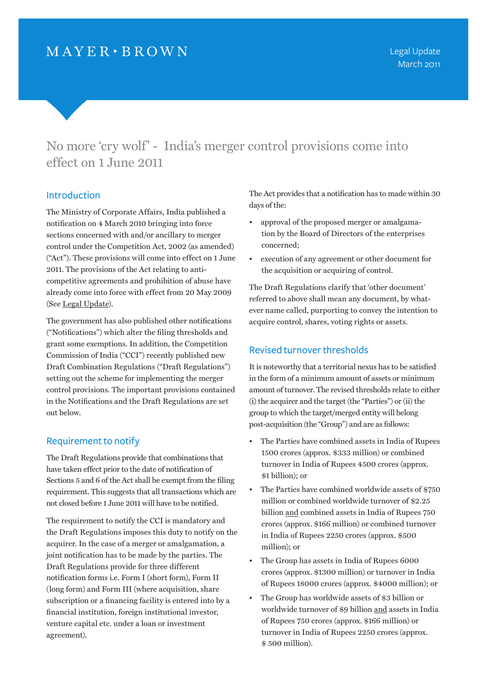No more 'cry wolf' - India's merger control provisions come into effect on 1 June 2011

### Introduction

The Ministry of Corporate Affairs, India published a notification on 4 March 2010 bringing into force sections concerned with and/or ancillary to merger control under the Competition Act, 2002 (as amended) ("Act"). These provisions will come into effect on 1 June 2011. The provisions of the Act relating to anticompetitive agreements and prohibition of abuse have already come into force with effect from 20 May 2009 (See [Legal Update\)](http://www.mayerbrown.com/publications/article.asp?id=10438).

The government has also published other notifications ("Notifications") which alter the filing thresholds and grant some exemptions. In addition, the Competition Commission of India ("CCI") recently published new Draft Combination Regulations ("Draft Regulations") setting out the scheme for implementing the merger control provisions. The important provisions contained in the Notifications and the Draft Regulations are set out below.

### Requirement to notify

The Draft Regulations provide that combinations that have taken effect prior to the date of notification of Sections 5 and 6 of the Act shall be exempt from the filing requirement. This suggests that all transactions which are not closed before 1 June 2011 will have to be notified.

The requirement to notify the CCI is mandatory and the Draft Regulations imposes this duty to notify on the acquirer. In the case of a merger or amalgamation, a joint notification has to be made by the parties. The Draft Regulations provide for three different notification forms i.e. Form I (short form), Form II (long form) and Form III (where acquisition, share subscription or a financing facility is entered into by a financial institution, foreign institutional investor, venture capital etc. under a loan or investment agreement).

The Act provides that a notification has to made within 30 days of the:

- approval of the proposed merger or amalgamation by the Board of Directors of the enterprises concerned;
- execution of any agreement or other document for the acquisition or acquiring of control.

The Draft Regulations clarify that 'other document' referred to above shall mean any document, by whatever name called, purporting to convey the intention to acquire control, shares, voting rights or assets.

## Revised turnover thresholds

It is noteworthy that a territorial nexus has to be satisfied in the form of a minimum amount of assets or minimum amount of turnover. The revised thresholds relate to either (i) the acquirer and the target (the "Parties") or (ii) the group to which the target/merged entity will belong post-acquisition (the "Group") and are as follows:

- The Parties have combined assets in India of Rupees 1500 crores (approx. \$333 million) or combined turnover in India of Rupees 4500 crores (approx. \$1 billion); or
- The Parties have combined worldwide assets of \$750 million or combined worldwide turnover of \$2.25 billion and combined assets in India of Rupees 750 crores (approx. \$166 million) or combined turnover in India of Rupees 2250 crores (approx. \$500 million); or
- The Group has assets in India of Rupees 6000 crores (approx. \$1300 million) or turnover in India of Rupees 18000 crores (approx. \$4000 million); or
- The Group has worldwide assets of \$3 billion or worldwide turnover of \$9 billion and assets in India of Rupees 750 crores (approx. \$166 million) or turnover in India of Rupees 2250 crores (approx. \$ 500 million).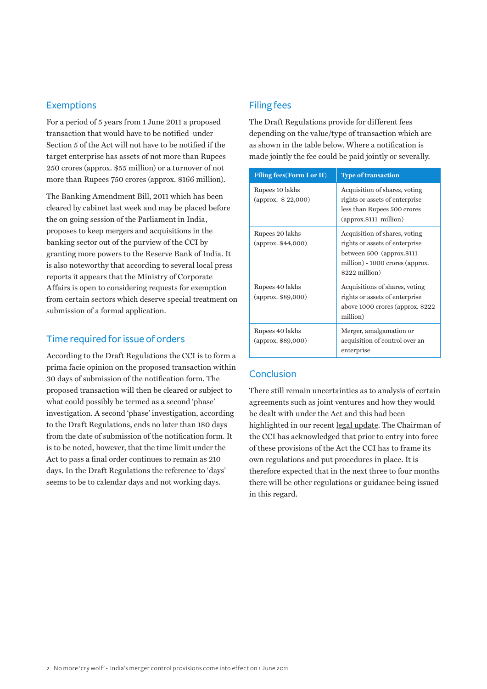### Exemptions

For a period of 5 years from 1 June 2011 a proposed transaction that would have to be notified under Section 5 of the Act will not have to be notified if the target enterprise has assets of not more than Rupees 250 crores (approx. \$55 million) or a turnover of not more than Rupees 750 crores (approx. \$166 million).

The Banking Amendment Bill, 2011 which has been cleared by cabinet last week and may be placed before the on going session of the Parliament in India, proposes to keep mergers and acquisitions in the banking sector out of the purview of the CCI by granting more powers to the Reserve Bank of India. It is also noteworthy that according to several local press reports it appears that the Ministry of Corporate Affairs is open to considering requests for exemption from certain sectors which deserve special treatment on submission of a formal application.

# Time required for issue of orders

According to the Draft Regulations the CCI is to form a prima facie opinion on the proposed transaction within 30 days of submission of the notification form. The proposed transaction will then be cleared or subject to what could possibly be termed as a second 'phase' investigation. A second 'phase' investigation, according to the Draft Regulations, ends no later than 180 days from the date of submission of the notification form. It is to be noted, however, that the time limit under the Act to pass a final order continues to remain as 210 days. In the Draft Regulations the reference to 'days' seems to be to calendar days and not working days.

## Filing fees

The Draft Regulations provide for different fees depending on the value/type of transaction which are as shown in the table below. Where a notification is made jointly the fee could be paid jointly or severally.

| <b>Filing fees (Form I or II)</b>       | <b>Type of transaction</b>                                                                                                                           |
|-----------------------------------------|------------------------------------------------------------------------------------------------------------------------------------------------------|
| Rupees 10 lakhs<br>(approx. $$22,000$ ) | Acquisition of shares, voting<br>rights or assets of enterprise<br>less than Rupees 500 crores<br>$\alpha$ (approx.\$111 million)                    |
| Rupees 20 lakhs<br>(approx. \$44,000)   | Acquisition of shares, voting<br>rights or assets of enterprise<br>between $500$ (approx.\$111)<br>million) - 1000 crores (approx.<br>\$222 million) |
| Rupees 40 lakhs<br>(approx. \$89,000)   | Acquisitions of shares, voting<br>rights or assets of enterprise<br>above 1000 crores (approx. $$222$<br>million)                                    |
| Rupees 40 lakhs<br>(approx. \$89,000)   | Merger, amalgamation or<br>acquisition of control over an<br>enterprise                                                                              |

# Conclusion

There still remain uncertainties as to analysis of certain agreements such as joint ventures and how they would be dealt with under the Act and this had been highlighted in our recent l[egal update](http://www.mayerbrown.com/publications/article.asp?id=10438). The Chairman of the CCI has acknowledged that prior to entry into force of these provisions of the Act the CCI has to frame its own regulations and put procedures in place. It is therefore expected that in the next three to four months there will be other regulations or guidance being issued in this regard.